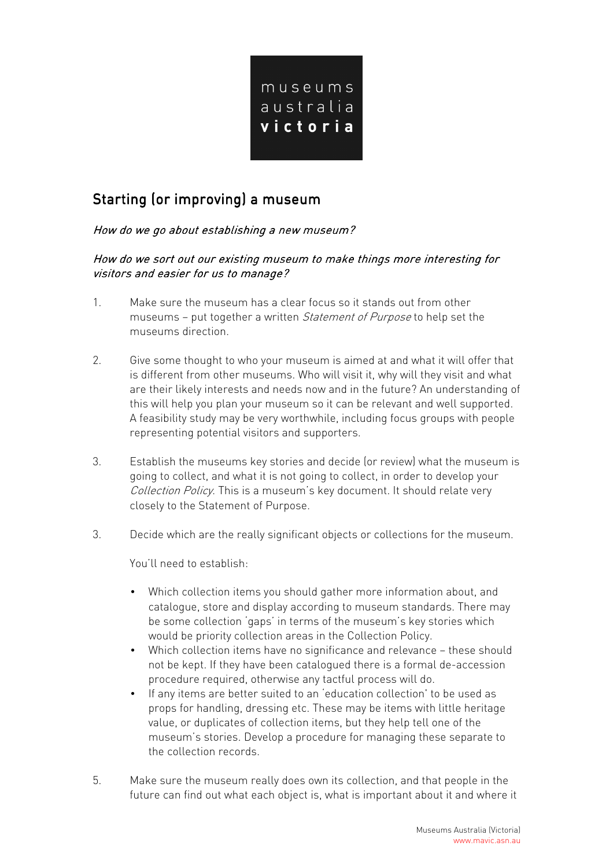

# Starting (or improving) a museum

## How do we go about establishing a new museum?

How do we sort out our existing museum to make things more interesting for visitors and easier for us to manage?

- 1. Make sure the museum has a clear focus so it stands out from other museums – put together a written Statement of Purpose to help set the museums direction.
- 2. Give some thought to who your museum is aimed at and what it will offer that is different from other museums. Who will visit it, why will they visit and what are their likely interests and needs now and in the future? An understanding of this will help you plan your museum so it can be relevant and well supported. A feasibility study may be very worthwhile, including focus groups with people representing potential visitors and supporters.
- 3. Establish the museums key stories and decide (or review) what the museum is going to collect, and what it is not going to collect, in order to develop your Collection Policy. This is a museum's key document. It should relate very closely to the Statement of Purpose.
- 3. Decide which are the really significant objects or collections for the museum.

You'll need to establish:

- Which collection items you should gather more information about, and catalogue, store and display according to museum standards. There may be some collection 'gaps' in terms of the museum's key stories which would be priority collection areas in the Collection Policy.
- Which collection items have no significance and relevance these should not be kept. If they have been catalogued there is a formal de-accession procedure required, otherwise any tactful process will do.
- If any items are better suited to an 'education collection' to be used as props for handling, dressing etc. These may be items with little heritage value, or duplicates of collection items, but they help tell one of the museum's stories. Develop a procedure for managing these separate to the collection records.
- 5. Make sure the museum really does own its collection, and that people in the future can find out what each object is, what is important about it and where it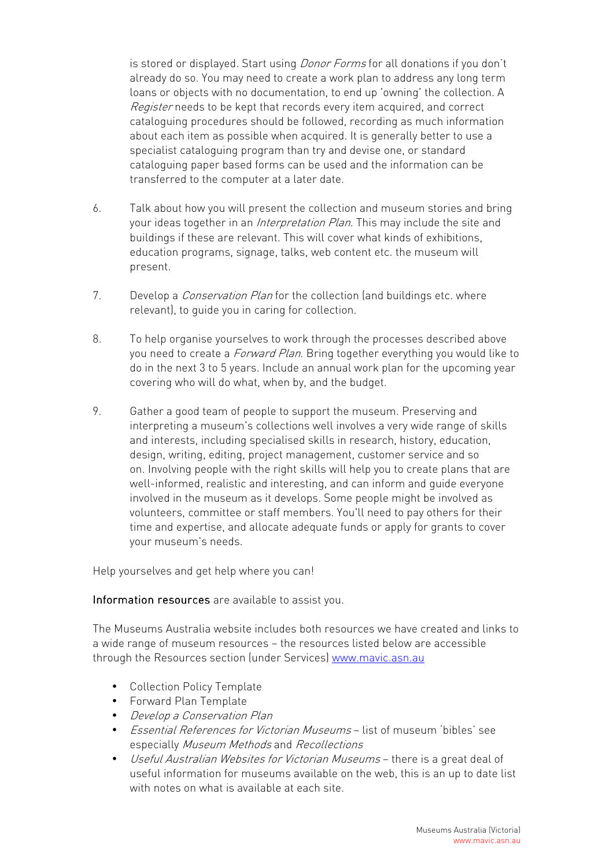is stored or displayed. Start using *Donor Forms* for all donations if you don't already do so. You may need to create a work plan to address any long term loans or objects with no documentation, to end up 'owning' the collection. A Register needs to be kept that records every item acquired, and correct cataloguing procedures should be followed, recording as much information about each item as possible when acquired. It is generally better to use a specialist cataloguing program than try and devise one, or standard cataloguing paper based forms can be used and the information can be transferred to the computer at a later date.

- 6. Talk about how you will present the collection and museum stories and bring your ideas together in an *Interpretation Plan*. This may include the site and buildings if these are relevant. This will cover what kinds of exhibitions, education programs, signage, talks, web content etc. the museum will present.
- 7. Develop a *Conservation Plan* for the collection (and buildings etc. where relevant), to guide you in caring for collection.
- 8. To help organise yourselves to work through the processes described above you need to create a *Forward Plan*. Bring together everything you would like to do in the next 3 to 5 years. Include an annual work plan for the upcoming year covering who will do what, when by, and the budget.
- 9. Gather a good team of people to support the museum. Preserving and interpreting a museum's collections well involves a very wide range of skills and interests, including specialised skills in research, history, education, design, writing, editing, project management, customer service and so on. Involving people with the right skills will help you to create plans that are well-informed, realistic and interesting, and can inform and guide everyone involved in the museum as it develops. Some people might be involved as volunteers, committee or staff members. You'll need to pay others for their time and expertise, and allocate adequate funds or apply for grants to cover your museum's needs.

Help yourselves and get help where you can!

#### Information resources are available to assist you.

The Museums Australia website includes both resources we have created and links to a wide range of museum resources – the resources listed below are accessible through the Resources section (under Services) www.mavic.asn.au

- Collection Policy Template
- Forward Plan Template
- Develop a Conservation Plan
- Essential References for Victorian Museums list of museum 'bibles' see especially Museum Methods and Recollections
- Useful Australian Websites for Victorian Museums there is a great deal of useful information for museums available on the web, this is an up to date list with notes on what is available at each site.